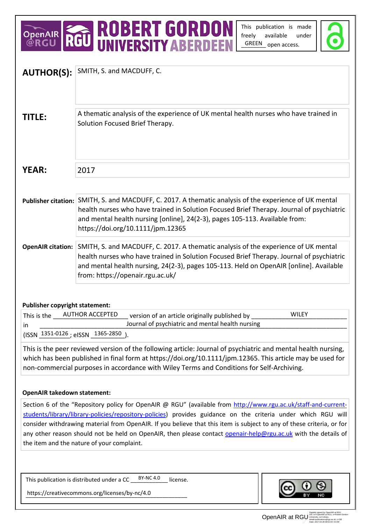# OPENAIR **ROBERT GORDON**

This publication is made freely available under GREEN open access.



| <b>AUTHOR(S):</b>                                                                                                                                                                                                                                                                                                       | SMITH, S. and MACDUFF, C.                                                                                                                                                                                                                                                                                                                                                                                                                                                                                                |  |  |
|-------------------------------------------------------------------------------------------------------------------------------------------------------------------------------------------------------------------------------------------------------------------------------------------------------------------------|--------------------------------------------------------------------------------------------------------------------------------------------------------------------------------------------------------------------------------------------------------------------------------------------------------------------------------------------------------------------------------------------------------------------------------------------------------------------------------------------------------------------------|--|--|
| <b>TITLE:</b>                                                                                                                                                                                                                                                                                                           | A thematic analysis of the experience of UK mental health nurses who have trained in<br>Solution Focused Brief Therapy.                                                                                                                                                                                                                                                                                                                                                                                                  |  |  |
| <b>YEAR:</b>                                                                                                                                                                                                                                                                                                            | 2017                                                                                                                                                                                                                                                                                                                                                                                                                                                                                                                     |  |  |
|                                                                                                                                                                                                                                                                                                                         |                                                                                                                                                                                                                                                                                                                                                                                                                                                                                                                          |  |  |
|                                                                                                                                                                                                                                                                                                                         | Publisher citation: SMITH, S. and MACDUFF, C. 2017. A thematic analysis of the experience of UK mental<br>health nurses who have trained in Solution Focused Brief Therapy. Journal of psychiatric<br>and mental health nursing [online], 24(2-3), pages 105-113. Available from:<br>https://doi.org/10.1111/jpm.12365                                                                                                                                                                                                   |  |  |
| <b>OpenAIR citation:</b>                                                                                                                                                                                                                                                                                                | SMITH, S. and MACDUFF, C. 2017. A thematic analysis of the experience of UK mental<br>health nurses who have trained in Solution Focused Brief Therapy. Journal of psychiatric<br>and mental health nursing, 24(2-3), pages 105-113. Held on OpenAIR [online]. Available<br>from: https://openair.rgu.ac.uk/                                                                                                                                                                                                             |  |  |
| <b>Publisher copyright statement:</b>                                                                                                                                                                                                                                                                                   |                                                                                                                                                                                                                                                                                                                                                                                                                                                                                                                          |  |  |
| <b>WILEY</b><br><b>AUTHOR ACCEPTED</b><br>version of an article originally published by<br>This is the                                                                                                                                                                                                                  |                                                                                                                                                                                                                                                                                                                                                                                                                                                                                                                          |  |  |
| Journal of psychiatric and mental health nursing<br><i>in</i>                                                                                                                                                                                                                                                           |                                                                                                                                                                                                                                                                                                                                                                                                                                                                                                                          |  |  |
| (ISSN 1351-0126; eISSN 1365-2850                                                                                                                                                                                                                                                                                        |                                                                                                                                                                                                                                                                                                                                                                                                                                                                                                                          |  |  |
| This is the peer reviewed version of the following article: Journal of psychiatric and mental health nursing,<br>which has been published in final form at https://doi.org/10.1111/jpm.12365. This article may be used for<br>non-commercial purposes in accordance with Wiley Terms and Conditions for Self-Archiving. |                                                                                                                                                                                                                                                                                                                                                                                                                                                                                                                          |  |  |
| <b>OpenAIR takedown statement:</b>                                                                                                                                                                                                                                                                                      |                                                                                                                                                                                                                                                                                                                                                                                                                                                                                                                          |  |  |
|                                                                                                                                                                                                                                                                                                                         | Section 6 of the "Repository policy for OpenAIR @ RGU" (available from http://www.rgu.ac.uk/staff-and-current-<br>students/library/library-policies/repository-policies) provides guidance on the criteria under which RGU will<br>consider withdrawing material from OpenAIR. If you believe that this item is subject to any of these criteria, or for<br>any other reason should not be held on OpenAIR, then please contact openair-help@rgu.ac.uk with the details of<br>the item and the nature of your complaint. |  |  |
|                                                                                                                                                                                                                                                                                                                         | This publication is distributed under a CC $\underline{\hspace{1cm}}^{\text{BY-NC 4.0}}$<br>license.                                                                                                                                                                                                                                                                                                                                                                                                                     |  |  |
| https://creativecommons.org/licenses/by-nc/4.0                                                                                                                                                                                                                                                                          |                                                                                                                                                                                                                                                                                                                                                                                                                                                                                                                          |  |  |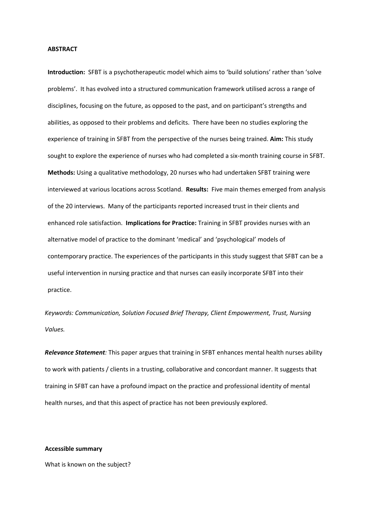#### **ABSTRACT**

**Introduction:** SFBT is a psychotherapeutic model which aims to 'build solutions' rather than 'solve problems'. It has evolved into a structured communication framework utilised across a range of disciplines, focusing on the future, as opposed to the past, and on participant's strengths and abilities, as opposed to their problems and deficits. There have been no studies exploring the experience of training in SFBT from the perspective of the nurses being trained. **Aim:** This study sought to explore the experience of nurses who had completed a six-month training course in SFBT. **Methods:** Using a qualitative methodology, 20 nurses who had undertaken SFBT training were interviewed at various locations across Scotland. **Results:** Five main themes emerged from analysis of the 20 interviews. Many of the participants reported increased trust in their clients and enhanced role satisfaction. **Implications for Practice:** Training in SFBT provides nurses with an alternative model of practice to the dominant 'medical' and 'psychological' models of contemporary practice. The experiences of the participants in this study suggest that SFBT can be a useful intervention in nursing practice and that nurses can easily incorporate SFBT into their practice.

*Keywords: Communication, Solution Focused Brief Therapy, Client Empowerment, Trust, Nursing Values.*

*Relevance Statement:* This paper argues that training in SFBT enhances mental health nurses ability to work with patients / clients in a trusting, collaborative and concordant manner. It suggests that training in SFBT can have a profound impact on the practice and professional identity of mental health nurses, and that this aspect of practice has not been previously explored.

# **Accessible summary**

What is known on the subject?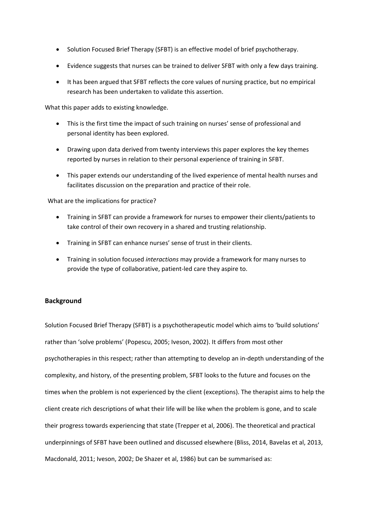- Solution Focused Brief Therapy (SFBT) is an effective model of brief psychotherapy.
- Evidence suggests that nurses can be trained to deliver SFBT with only a few days training.
- It has been argued that SFBT reflects the core values of nursing practice, but no empirical research has been undertaken to validate this assertion.

What this paper adds to existing knowledge.

- This is the first time the impact of such training on nurses' sense of professional and personal identity has been explored.
- Drawing upon data derived from twenty interviews this paper explores the key themes reported by nurses in relation to their personal experience of training in SFBT.
- This paper extends our understanding of the lived experience of mental health nurses and facilitates discussion on the preparation and practice of their role.

What are the implications for practice?

- Training in SFBT can provide a framework for nurses to empower their clients/patients to take control of their own recovery in a shared and trusting relationship.
- Training in SFBT can enhance nurses' sense of trust in their clients.
- Training in solution focused *interactions* may provide a framework for many nurses to provide the type of collaborative, patient‐led care they aspire to.

# **Background**

Solution Focused Brief Therapy (SFBT) is a psychotherapeutic model which aims to 'build solutions' rather than 'solve problems' (Popescu, 2005; Iveson, 2002). It differs from most other psychotherapies in this respect; rather than attempting to develop an in‐depth understanding of the complexity, and history, of the presenting problem, SFBT looks to the future and focuses on the times when the problem is not experienced by the client (exceptions). The therapist aims to help the client create rich descriptions of what their life will be like when the problem is gone, and to scale their progress towards experiencing that state (Trepper et al, 2006). The theoretical and practical underpinnings of SFBT have been outlined and discussed elsewhere (Bliss, 2014, Bavelas et al, 2013, Macdonald, 2011; Iveson, 2002; De Shazer et al, 1986) but can be summarised as: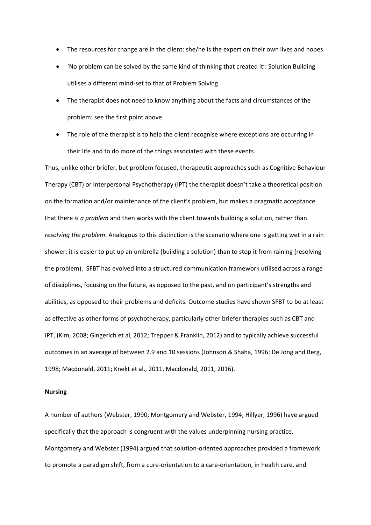- The resources for change are in the client: she/he is the expert on their own lives and hopes
- 'No problem can be solved by the same kind of thinking that created it': Solution Building utilises a different mind‐set to that of Problem Solving
- The therapist does not need to know anything about the facts and circumstances of the problem: see the first point above.
- The role of the therapist is to help the client recognise where exceptions are occurring in their life and to do more of the things associated with these events.

Thus, unlike other briefer, but problem focused, therapeutic approaches such as Cognitive Behaviour Therapy (CBT) or Interpersonal Psychotherapy (IPT) the therapist doesn't take a theoretical position on the formation and/or maintenance of the client's problem, but makes a pragmatic acceptance that there *is a problem* and then works with the client towards building a solution, rather than *resolving the problem*. Analogous to this distinction is the scenario where one is getting wet in a rain shower; it is easier to put up an umbrella (building a solution) than to stop it from raining (resolving the problem). SFBT has evolved into a structured communication framework utilised across a range of disciplines, focusing on the future, as opposed to the past, and on participant's strengths and abilities, as opposed to their problems and deficits. Outcome studies have shown SFBT to be at least as effective as other forms of psychotherapy, particularly other briefer therapies such as CBT and IPT, (Kim, 2008; Gingerich et al, 2012; Trepper & Franklin, 2012) and to typically achieve successful outcomes in an average of between 2.9 and 10 sessions (Johnson & Shaha, 1996; De Jong and Berg, 1998; Macdonald, 2011; Knekt et al., 2011, Macdonald, 2011, 2016).

### **Nursing**

A number of authors (Webster, 1990; Montgomery and Webster, 1994; Hillyer, 1996) have argued specifically that the approach is congruent with the values underpinning nursing practice. Montgomery and Webster (1994) argued that solution‐oriented approaches provided a framework to promote a paradigm shift, from a cure-orientation to a care-orientation, in health care, and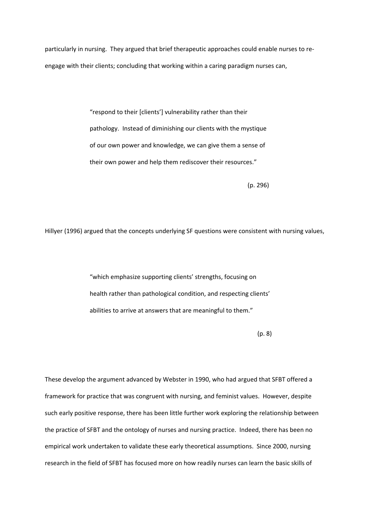particularly in nursing. They argued that brief therapeutic approaches could enable nurses to re‐ engage with their clients; concluding that working within a caring paradigm nurses can,

> "respond to their [clients'] vulnerability rather than their pathology. Instead of diminishing our clients with the mystique of our own power and knowledge, we can give them a sense of their own power and help them rediscover their resources."

> > (p. 296)

Hillyer (1996) argued that the concepts underlying SF questions were consistent with nursing values,

"which emphasize supporting clients' strengths, focusing on health rather than pathological condition, and respecting clients' abilities to arrive at answers that are meaningful to them."

(p. 8)

These develop the argument advanced by Webster in 1990, who had argued that SFBT offered a framework for practice that was congruent with nursing, and feminist values. However, despite such early positive response, there has been little further work exploring the relationship between the practice of SFBT and the ontology of nurses and nursing practice. Indeed, there has been no empirical work undertaken to validate these early theoretical assumptions. Since 2000, nursing research in the field of SFBT has focused more on how readily nurses can learn the basic skills of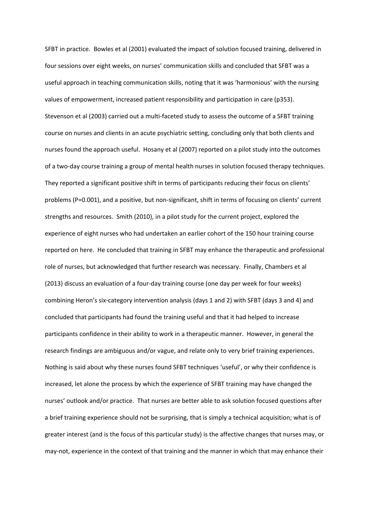SFBT in practice. Bowles et al (2001) evaluated the impact of solution focused training, delivered in four sessions over eight weeks, on nurses' communication skills and concluded that SFBT was a useful approach in teaching communication skills, noting that it was 'harmonious' with the nursing values of empowerment, increased patient responsibility and participation in care (p353). Stevenson et al (2003) carried out a multi-faceted study to assess the outcome of a SFBT training course on nurses and clients in an acute psychiatric setting, concluding only that both clients and nurses found the approach useful. Hosany et al (2007) reported on a pilot study into the outcomes of a two-day course training a group of mental health nurses in solution focused therapy techniques. They reported a significant positive shift in terms of participants reducing their focus on clients' problems (P=0.001), and a positive, but non-significant, shift in terms of focusing on clients' current strengths and resources. Smith (2010), in a pilot study for the current project, explored the experience of eight nurses who had undertaken an earlier cohort of the 150 hour training course reported on here. He concluded that training in SFBT may enhance the therapeutic and professional role of nurses, but acknowledged that further research was necessary. Finally, Chambers et al (2013) discuss an evaluation of a four-day training course (one day per week for four weeks) combining Heron's six‐category intervention analysis (days 1 and 2) with SFBT (days 3 and 4) and concluded that participants had found the training useful and that it had helped to increase participants confidence in their ability to work in a therapeutic manner. However, in general the research findings are ambiguous and/or vague, and relate only to very brief training experiences. Nothing is said about why these nurses found SFBT techniques 'useful', or why their confidence is increased, let alone the process by which the experience of SFBT training may have changed the nurses' outlook and/or practice. That nurses are better able to ask solution focused questions after a brief training experience should not be surprising, that is simply a technical acquisition; what is of greater interest (and is the focus of this particular study) is the affective changes that nurses may, or may-not, experience in the context of that training and the manner in which that may enhance their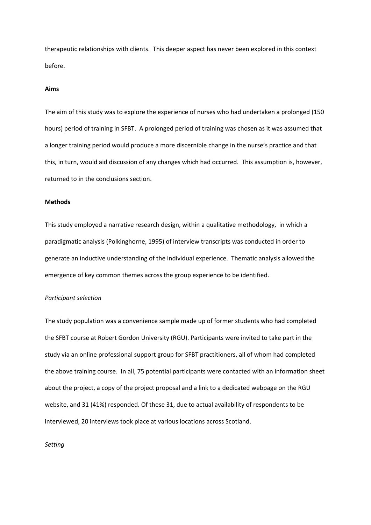therapeutic relationships with clients. This deeper aspect has never been explored in this context before.

#### **Aims**

The aim of this study was to explore the experience of nurses who had undertaken a prolonged (150 hours) period of training in SFBT. A prolonged period of training was chosen as it was assumed that a longer training period would produce a more discernible change in the nurse's practice and that this, in turn, would aid discussion of any changes which had occurred. This assumption is, however, returned to in the conclusions section.

# **Methods**

This study employed a narrative research design, within a qualitative methodology, in which a paradigmatic analysis (Polkinghorne, 1995) of interview transcripts was conducted in order to generate an inductive understanding of the individual experience. Thematic analysis allowed the emergence of key common themes across the group experience to be identified.

#### *Participant selection*

The study population was a convenience sample made up of former students who had completed the SFBT course at Robert Gordon University (RGU). Participants were invited to take part in the study via an online professional support group for SFBT practitioners, all of whom had completed the above training course. In all, 75 potential participants were contacted with an information sheet about the project, a copy of the project proposal and a link to a dedicated webpage on the RGU website, and 31 (41%) responded. Of these 31, due to actual availability of respondents to be interviewed, 20 interviews took place at various locations across Scotland.

#### *Setting*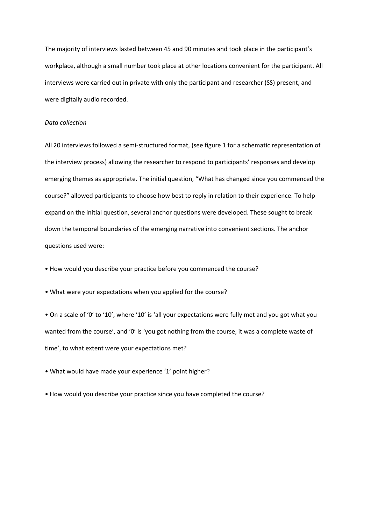The majority of interviews lasted between 45 and 90 minutes and took place in the participant's workplace, although a small number took place at other locations convenient for the participant. All interviews were carried out in private with only the participant and researcher (SS) present, and were digitally audio recorded.

# *Data collection*

All 20 interviews followed a semi‐structured format, (see figure 1 for a schematic representation of the interview process) allowing the researcher to respond to participants' responses and develop emerging themes as appropriate. The initial question, "What has changed since you commenced the course?" allowed participants to choose how best to reply in relation to their experience. To help expand on the initial question, several anchor questions were developed. These sought to break down the temporal boundaries of the emerging narrative into convenient sections. The anchor questions used were:

• How would you describe your practice before you commenced the course?

• What were your expectations when you applied for the course?

• On a scale of '0' to '10', where '10' is 'all your expectations were fully met and you got what you wanted from the course', and '0' is 'you got nothing from the course, it was a complete waste of time', to what extent were your expectations met?

• What would have made your experience '1' point higher?

• How would you describe your practice since you have completed the course?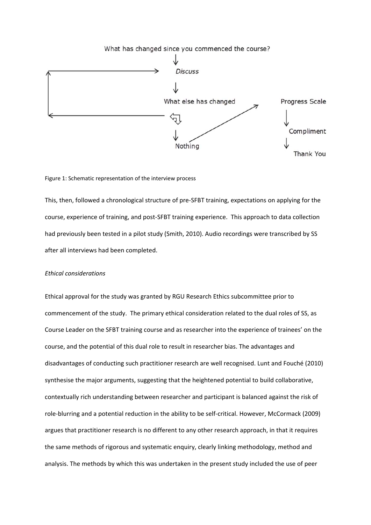

Figure 1: Schematic representation of the interview process

This, then, followed a chronological structure of pre‐SFBT training, expectations on applying for the course, experience of training, and post‐SFBT training experience. This approach to data collection had previously been tested in a pilot study (Smith, 2010). Audio recordings were transcribed by SS after all interviews had been completed.

# *Ethical considerations*

Ethical approval for the study was granted by RGU Research Ethics subcommittee prior to commencement of the study. The primary ethical consideration related to the dual roles of SS, as Course Leader on the SFBT training course and as researcher into the experience of trainees' on the course, and the potential of this dual role to result in researcher bias. The advantages and disadvantages of conducting such practitioner research are well recognised. Lunt and Fouché (2010) synthesise the major arguments, suggesting that the heightened potential to build collaborative, contextually rich understanding between researcher and participant is balanced against the risk of role‐blurring and a potential reduction in the ability to be self‐critical. However, McCormack (2009) argues that practitioner research is no different to any other research approach, in that it requires the same methods of rigorous and systematic enquiry, clearly linking methodology, method and analysis. The methods by which this was undertaken in the present study included the use of peer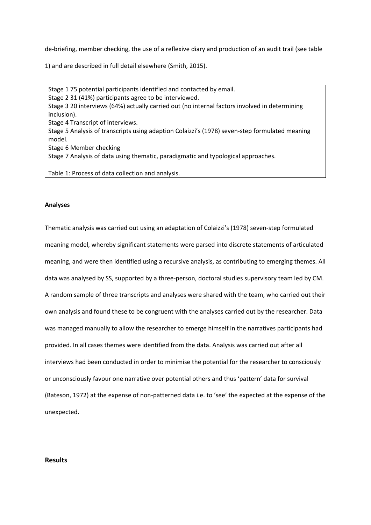de-briefing, member checking, the use of a reflexive diary and production of an audit trail (see table

1) and are described in full detail elsewhere (Smith, 2015).

Stage 1 75 potential participants identified and contacted by email. Stage 2 31 (41%) participants agree to be interviewed. Stage 3 20 interviews (64%) actually carried out (no internal factors involved in determining inclusion). Stage 4 Transcript of interviews. Stage 5 Analysis of transcripts using adaption Colaizzi's (1978) seven‐step formulated meaning model. Stage 6 Member checking Stage 7 Analysis of data using thematic, paradigmatic and typological approaches.

Table 1: Process of data collection and analysis.

# **Analyses**

Thematic analysis was carried out using an adaptation of Colaizzi's (1978) seven‐step formulated meaning model, whereby significant statements were parsed into discrete statements of articulated meaning, and were then identified using a recursive analysis, as contributing to emerging themes. All data was analysed by SS, supported by a three‐person, doctoral studies supervisory team led by CM. A random sample of three transcripts and analyses were shared with the team, who carried out their own analysis and found these to be congruent with the analyses carried out by the researcher. Data was managed manually to allow the researcher to emerge himself in the narratives participants had provided. In all cases themes were identified from the data. Analysis was carried out after all interviews had been conducted in order to minimise the potential for the researcher to consciously or unconsciously favour one narrative over potential others and thus 'pattern' data for survival (Bateson, 1972) at the expense of non‐patterned data i.e. to 'see' the expected at the expense of the unexpected.

# **Results**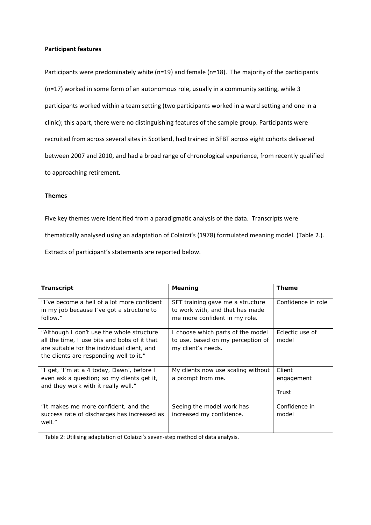# **Participant features**

Participants were predominately white (n=19) and female (n=18). The majority of the participants (n=17) worked in some form of an autonomous role, usually in a community setting, while 3 participants worked within a team setting (two participants worked in a ward setting and one in a clinic); this apart, there were no distinguishing features of the sample group. Participants were recruited from across several sites in Scotland, had trained in SFBT across eight cohorts delivered between 2007 and 2010, and had a broad range of chronological experience, from recently qualified to approaching retirement.

# **Themes**

Five key themes were identified from a paradigmatic analysis of the data. Transcripts were thematically analysed using an adaptation of Colaizzi's (1978) formulated meaning model. (Table 2.). Extracts of participant's statements are reported below.

| <b>Transcript</b>                                                                                                                                                                   | Meaning                                                                                              | <b>Theme</b>                  |
|-------------------------------------------------------------------------------------------------------------------------------------------------------------------------------------|------------------------------------------------------------------------------------------------------|-------------------------------|
| "I've become a hell of a lot more confident<br>in my job because I've got a structure to<br>follow."                                                                                | SFT training gave me a structure<br>to work with, and that has made<br>me more confident in my role. | Confidence in role            |
| "Although I don't use the whole structure<br>all the time, I use bits and bobs of it that<br>are suitable for the individual client, and<br>the clients are responding well to it." | I choose which parts of the model<br>to use, based on my perception of<br>my client's needs.         | Eclectic use of<br>model      |
| "I get, 'I'm at a 4 today, Dawn', before I<br>even ask a question; so my clients get it,<br>and they work with it really well."                                                     | My clients now use scaling without<br>a prompt from me.                                              | Client<br>engagement<br>Trust |
| "It makes me more confident, and the<br>success rate of discharges has increased as<br>well."                                                                                       | Seeing the model work has<br>increased my confidence.                                                | Confidence in<br>model        |

Table 2: Utilising adaptation of Colaizzi's seven‐step method of data analysis.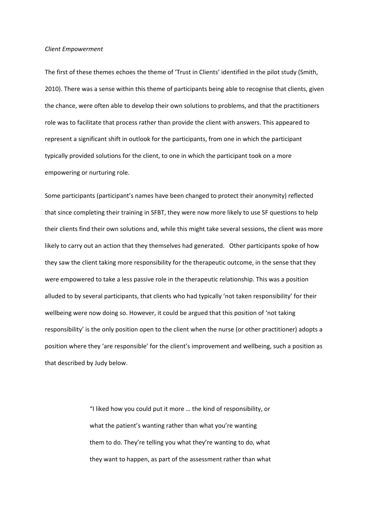#### *Client Empowerment*

The first of these themes echoes the theme of 'Trust in Clients' identified in the pilot study (Smith, 2010). There was a sense within this theme of participants being able to recognise that clients, given the chance, were often able to develop their own solutions to problems, and that the practitioners role was to facilitate that process rather than provide the client with answers. This appeared to represent a significant shift in outlook for the participants, from one in which the participant typically provided solutions for the client, to one in which the participant took on a more empowering or nurturing role.

Some participants (participant's names have been changed to protect their anonymity) reflected that since completing their training in SFBT, they were now more likely to use SF questions to help their clients find their own solutions and, while this might take several sessions, the client was more likely to carry out an action that they themselves had generated. Other participants spoke of how they saw the client taking more responsibility for the therapeutic outcome, in the sense that they were empowered to take a less passive role in the therapeutic relationship. This was a position alluded to by several participants, that clients who had typically 'not taken responsibility' for their wellbeing were now doing so. However, it could be argued that this position of 'not taking responsibility' is the only position open to the client when the nurse (or other practitioner) adopts a position where they 'are responsible' for the client's improvement and wellbeing, such a position as that described by Judy below.

> "I liked how you could put it more … the kind of responsibility, or what the patient's wanting rather than what you're wanting them to do. They're telling you what they're wanting to do, what they want to happen, as part of the assessment rather than what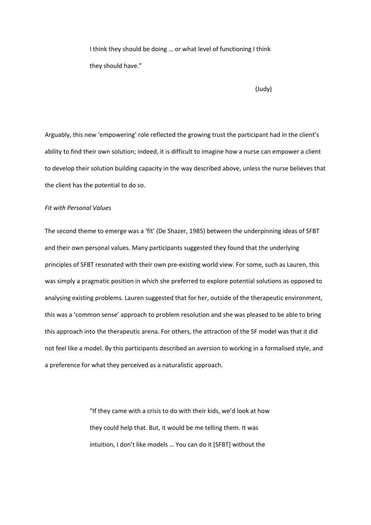I think they should be doing … or what level of functioning I think they should have."

(Judy)

Arguably, this new 'empowering' role reflected the growing trust the participant had in the client's ability to find their own solution; indeed, it is difficult to imagine how a nurse can empower a client to develop their solution building capacity in the way described above, unless the nurse believes that the client has the potential to do so.

# *Fit with Personal Values*

The second theme to emerge was a 'fit' (De Shazer, 1985) between the underpinning ideas of SFBT and their own personal values. Many participants suggested they found that the underlying principles of SFBT resonated with their own pre‐existing world view. For some, such as Lauren, this was simply a pragmatic position in which she preferred to explore potential solutions as opposed to analysing existing problems. Lauren suggested that for her, outside of the therapeutic environment, this was a 'common sense' approach to problem resolution and she was pleased to be able to bring this approach into the therapeutic arena. For others, the attraction of the SF model was that it did not feel like a model. By this participants described an aversion to working in a formalised style, and a preference for what they perceived as a naturalistic approach.

> "If they came with a crisis to do with their kids, we'd look at how they could help that. But, it would be me telling them. It was intuition, I don't like models … You can do it [SFBT] without the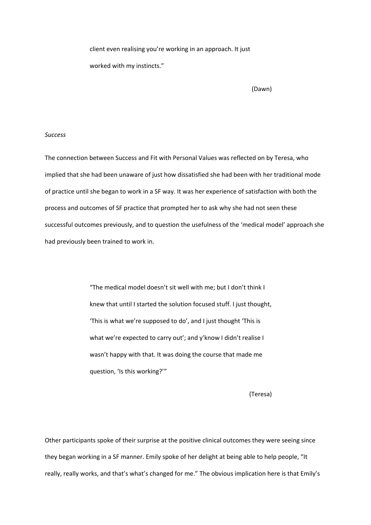client even realising you're working in an approach. It just worked with my instincts."

(Dawn)

# *Success*

The connection between Success and Fit with Personal Values was reflected on by Teresa, who implied that she had been unaware of just how dissatisfied she had been with her traditional mode of practice until she began to work in a SF way. It was her experience of satisfaction with both the process and outcomes of SF practice that prompted her to ask why she had not seen these successful outcomes previously, and to question the usefulness of the 'medical model' approach she had previously been trained to work in.

> "The medical model doesn't sit well with me; but I don't think I knew that until I started the solution focused stuff. I just thought, 'This is what we're supposed to do', and I just thought 'This is what we're expected to carry out'; and y'know I didn't realise I wasn't happy with that. It was doing the course that made me question, 'Is this working?'"

> > (Teresa)

Other participants spoke of their surprise at the positive clinical outcomes they were seeing since they began working in a SF manner. Emily spoke of her delight at being able to help people, "It really, really works, and that's what's changed for me." The obvious implication here is that Emily's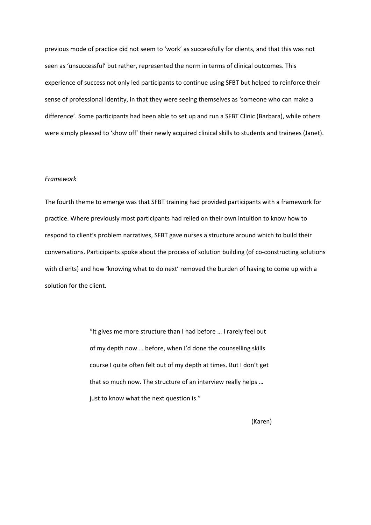previous mode of practice did not seem to 'work' as successfully for clients, and that this was not seen as 'unsuccessful' but rather, represented the norm in terms of clinical outcomes. This experience of success not only led participants to continue using SFBT but helped to reinforce their sense of professional identity, in that they were seeing themselves as 'someone who can make a difference'. Some participants had been able to set up and run a SFBT Clinic (Barbara), while others were simply pleased to 'show off' their newly acquired clinical skills to students and trainees (Janet).

#### *Framework*

The fourth theme to emerge was that SFBT training had provided participants with a framework for practice. Where previously most participants had relied on their own intuition to know how to respond to client's problem narratives, SFBT gave nurses a structure around which to build their conversations. Participants spoke about the process of solution building (of co-constructing solutions with clients) and how 'knowing what to do next' removed the burden of having to come up with a solution for the client.

> "It gives me more structure than I had before … I rarely feel out of my depth now … before, when I'd done the counselling skills course I quite often felt out of my depth at times. But I don't get that so much now. The structure of an interview really helps … just to know what the next question is."

> > (Karen)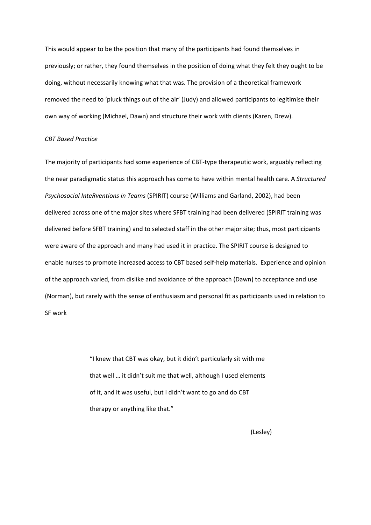This would appear to be the position that many of the participants had found themselves in previously; or rather, they found themselves in the position of doing what they felt they ought to be doing, without necessarily knowing what that was. The provision of a theoretical framework removed the need to 'pluck things out of the air' (Judy) and allowed participants to legitimise their own way of working (Michael, Dawn) and structure their work with clients (Karen, Drew).

#### *CBT Based Practice*

The majority of participants had some experience of CBT-type therapeutic work, arguably reflecting the near paradigmatic status this approach has come to have within mental health care. A *Structured Psychosocial InteRventions in Teams* (SPIRIT) course (Williams and Garland, 2002), had been delivered across one of the major sites where SFBT training had been delivered (SPIRIT training was delivered before SFBT training) and to selected staff in the other major site; thus, most participants were aware of the approach and many had used it in practice. The SPIRIT course is designed to enable nurses to promote increased access to CBT based self‐help materials. Experience and opinion of the approach varied, from dislike and avoidance of the approach (Dawn) to acceptance and use (Norman), but rarely with the sense of enthusiasm and personal fit as participants used in relation to SF work

> "I knew that CBT was okay, but it didn't particularly sit with me that well … it didn't suit me that well, although I used elements of it, and it was useful, but I didn't want to go and do CBT therapy or anything like that."

> > (Lesley)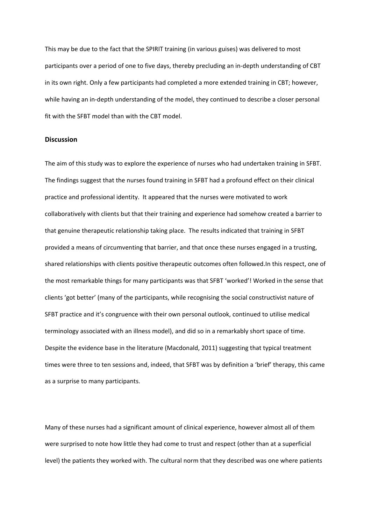This may be due to the fact that the SPIRIT training (in various guises) was delivered to most participants over a period of one to five days, thereby precluding an in‐depth understanding of CBT in its own right. Only a few participants had completed a more extended training in CBT; however, while having an in-depth understanding of the model, they continued to describe a closer personal fit with the SFBT model than with the CBT model.

### **Discussion**

The aim of this study was to explore the experience of nurses who had undertaken training in SFBT. The findings suggest that the nurses found training in SFBT had a profound effect on their clinical practice and professional identity. It appeared that the nurses were motivated to work collaboratively with clients but that their training and experience had somehow created a barrier to that genuine therapeutic relationship taking place. The results indicated that training in SFBT provided a means of circumventing that barrier, and that once these nurses engaged in a trusting, shared relationships with clients positive therapeutic outcomes often followed.In this respect, one of the most remarkable things for many participants was that SFBT 'worked'! Worked in the sense that clients 'got better' (many of the participants, while recognising the social constructivist nature of SFBT practice and it's congruence with their own personal outlook, continued to utilise medical terminology associated with an illness model), and did so in a remarkably short space of time. Despite the evidence base in the literature (Macdonald, 2011) suggesting that typical treatment times were three to ten sessions and, indeed, that SFBT was by definition a 'brief' therapy, this came as a surprise to many participants.

Many of these nurses had a significant amount of clinical experience, however almost all of them were surprised to note how little they had come to trust and respect (other than at a superficial level) the patients they worked with. The cultural norm that they described was one where patients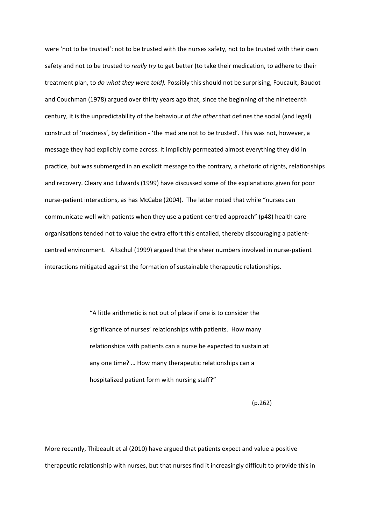were 'not to be trusted': not to be trusted with the nurses safety, not to be trusted with their own safety and not to be trusted to *really try* to get better (to take their medication, to adhere to their treatment plan, to *do what they were told).* Possibly this should not be surprising, Foucault, Baudot and Couchman (1978) argued over thirty years ago that, since the beginning of the nineteenth century, it is the unpredictability of the behaviour of *the other* that defines the social (and legal) construct of 'madness', by definition ‐ 'the mad are not to be trusted'. This was not, however, a message they had explicitly come across. It implicitly permeated almost everything they did in practice, but was submerged in an explicit message to the contrary, a rhetoric of rights, relationships and recovery. Cleary and Edwards (1999) have discussed some of the explanations given for poor nurse‐patient interactions, as has McCabe (2004). The latter noted that while "nurses can communicate well with patients when they use a patient‐centred approach" (p48) health care organisations tended not to value the extra effort this entailed, thereby discouraging a patient‐ centred environment. Altschul (1999) argued that the sheer numbers involved in nurse‐patient interactions mitigated against the formation of sustainable therapeutic relationships.

> "A little arithmetic is not out of place if one is to consider the significance of nurses' relationships with patients. How many relationships with patients can a nurse be expected to sustain at any one time? … How many therapeutic relationships can a hospitalized patient form with nursing staff?"

> > (p.262)

More recently, Thibeault et al (2010) have argued that patients expect and value a positive therapeutic relationship with nurses, but that nurses find it increasingly difficult to provide this in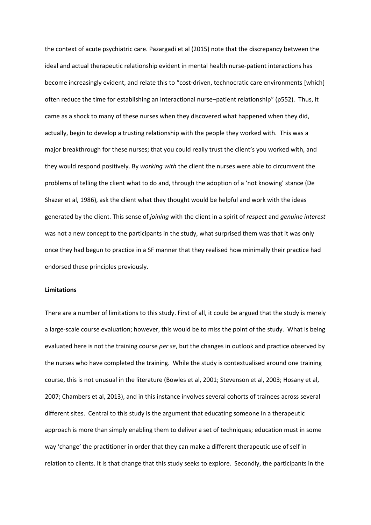the context of acute psychiatric care. Pazargadi et al (2015) note that the discrepancy between the ideal and actual therapeutic relationship evident in mental health nurse-patient interactions has become increasingly evident, and relate this to "cost-driven, technocratic care environments [which] often reduce the time for establishing an interactional nurse–patient relationship" (p552). Thus, it came as a shock to many of these nurses when they discovered what happened when they did, actually, begin to develop a trusting relationship with the people they worked with. This was a major breakthrough for these nurses; that you could really trust the client's you worked with, and they would respond positively. By *working with* the client the nurses were able to circumvent the problems of telling the client what to do and, through the adoption of a 'not knowing' stance (De Shazer et al, 1986), ask the client what they thought would be helpful and work with the ideas generated by the client. This sense of *joining* with the client in a spirit of *respect* and *genuine interest* was not a new concept to the participants in the study, what surprised them was that it was only once they had begun to practice in a SF manner that they realised how minimally their practice had endorsed these principles previously.

# **Limitations**

There are a number of limitations to this study. First of all, it could be argued that the study is merely a large‐scale course evaluation; however, this would be to miss the point of the study. What is being evaluated here is not the training course *per se*, but the changes in outlook and practice observed by the nurses who have completed the training. While the study is contextualised around one training course, this is not unusual in the literature (Bowles et al, 2001; Stevenson et al, 2003; Hosany et al, 2007; Chambers et al, 2013), and in this instance involves several cohorts of trainees across several different sites. Central to this study is the argument that educating someone in a therapeutic approach is more than simply enabling them to deliver a set of techniques; education must in some way 'change' the practitioner in order that they can make a different therapeutic use of self in relation to clients. It is that change that this study seeks to explore. Secondly, the participants in the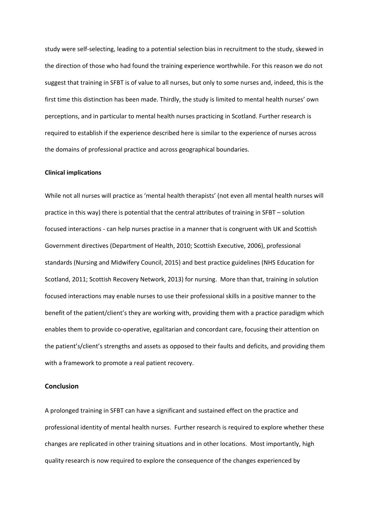study were self‐selecting, leading to a potential selection bias in recruitment to the study, skewed in the direction of those who had found the training experience worthwhile. For this reason we do not suggest that training in SFBT is of value to all nurses, but only to some nurses and, indeed, this is the first time this distinction has been made. Thirdly, the study is limited to mental health nurses' own perceptions, and in particular to mental health nurses practicing in Scotland. Further research is required to establish if the experience described here is similar to the experience of nurses across the domains of professional practice and across geographical boundaries.

### **Clinical implications**

While not all nurses will practice as 'mental health therapists' (not even all mental health nurses will practice in this way) there is potential that the central attributes of training in SFBT – solution focused interactions ‐ can help nurses practise in a manner that is congruent with UK and Scottish Government directives (Department of Health, 2010; Scottish Executive, 2006), professional standards (Nursing and Midwifery Council, 2015) and best practice guidelines (NHS Education for Scotland, 2011; Scottish Recovery Network, 2013) for nursing. More than that, training in solution focused interactions may enable nurses to use their professional skills in a positive manner to the benefit of the patient/client's they are working with, providing them with a practice paradigm which enables them to provide co-operative, egalitarian and concordant care, focusing their attention on the patient's/client's strengths and assets as opposed to their faults and deficits, and providing them with a framework to promote a real patient recovery.

# **Conclusion**

A prolonged training in SFBT can have a significant and sustained effect on the practice and professional identity of mental health nurses. Further research is required to explore whether these changes are replicated in other training situations and in other locations. Most importantly, high quality research is now required to explore the consequence of the changes experienced by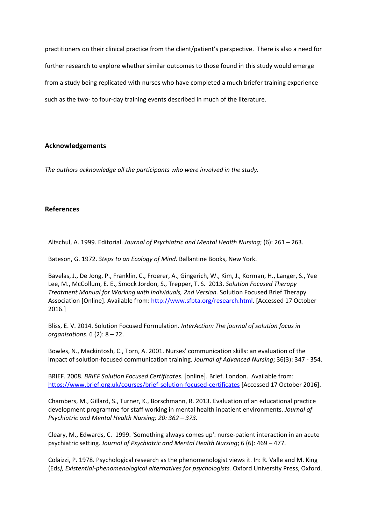practitioners on their clinical practice from the client/patient's perspective. There is also a need for further research to explore whether similar outcomes to those found in this study would emerge from a study being replicated with nurses who have completed a much briefer training experience such as the two- to four-day training events described in much of the literature.

# **Acknowledgements**

*The authors acknowledge all the participants who were involved in the study.*

# **References**

Altschul, A. 1999. Editorial. *Journal of Psychiatric and Mental Health Nursing*; (6): 261 – 263.

Bateson, G. 1972. *Steps to an Ecology of Mind*. Ballantine Books, New York.

Bavelas, J., De Jong, P., Franklin, C., Froerer, A., Gingerich, W., Kim, J., Korman, H., Langer, S., Yee Lee, M., McCollum, E. E., Smock Jordon, S., Trepper, T. S. 2013. *Solution Focused Therapy Treatment Manual for Working with Individuals, 2nd Version.* Solution Focused Brief Therapy Association [Online]. Available from: http://www.sfbta.org/research.html. [Accessed 17 October 2016.]

Bliss, E. V. 2014. Solution Focused Formulation. *InterAction: The journal of solution focus in organisations*. 6 (2): 8 – 22.

Bowles, N., Mackintosh, C., Torn, A. 2001. Nurses' communication skills: an evaluation of the impact of solution‐focused communication training. *Journal of Advanced Nursing*; 36(3): 347 ‐ 354.

BRIEF. 2008. *BRIEF Solution Focused Certificates.* [online]. Brief. London. Available from: https://www.brief.org.uk/courses/brief‐solution‐focused‐certificates [Accessed 17 October 2016].

Chambers, M., Gillard, S., Turner, K., Borschmann, R. 2013. Evaluation of an educational practice development programme for staff working in mental health inpatient environments. *Journal of Psychiatric and Mental Health Nursing; 20: 362 – 373.*

Cleary, M., Edwards, C. 1999. 'Something always comes up': nurse‐patient interaction in an acute psychiatric setting. *Journal of Psychiatric and Mental Health Nursing*; 6 (6): 469 – 477.

Colaizzi, P. 1978. Psychological research as the phenomenologist views it. In: R. Valle and M. King (Eds*), Existential‐phenomenological alternatives for psychologists.* Oxford University Press, Oxford.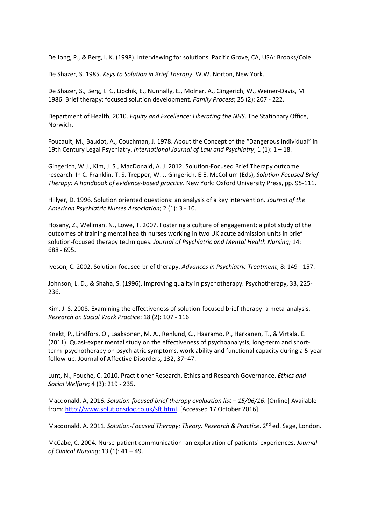De Jong, P., & Berg, I. K. (1998). Interviewing for solutions. Pacific Grove, CA, USA: Brooks/Cole.

De Shazer, S. 1985. *Keys to Solution in Brief Therapy*. W.W. Norton, New York.

De Shazer, S., Berg, I. K., Lipchik, E., Nunnally, E., Molnar, A., Gingerich, W., Weiner‐Davis, M. 1986. Brief therapy: focused solution development. *Family Process*; 25 (2): 207 ‐ 222.

Department of Health, 2010. *Equity and Excellence: Liberating the NHS*. The Stationary Office, Norwich.

Foucault, M., Baudot, A., Couchman, J. 1978. About the Concept of the "Dangerous Individual" in 19th Century Legal Psychiatry. *International Journal of Law and Psychiatry*; 1 (1): 1 – 18.

Gingerich, W.J., Kim, J. S., MacDonald, A. J. 2012. Solution‐Focused Brief Therapy outcome research. In C. Franklin, T. S. Trepper, W. J. Gingerich, E.E. McCollum (Eds), *Solution‐Focused Brief Therapy: A handbook of evidence‐based practice*. New York: Oxford University Press, pp. 95‐111.

Hillyer, D. 1996. Solution oriented questions: an analysis of a key intervention. *Journal of the American Psychiatric Nurses Association*; 2 (1): 3 ‐ 10.

Hosany, Z., Wellman, N., Lowe, T. 2007. Fostering a culture of engagement: a pilot study of the outcomes of training mental health nurses working in two UK acute admission units in brief solution‐focused therapy techniques. *Journal of Psychiatric and Mental Health Nursing;* 14: 688 ‐ 695.

Iveson, C. 2002. Solution‐focused brief therapy. *Advances in Psychiatric Treatment*; 8: 149 ‐ 157.

Johnson, L. D., & Shaha, S. (1996). Improving quality in psychotherapy. Psychotherapy, 33, 225‐ 236.

Kim, J. S. 2008. Examining the effectiveness of solution-focused brief therapy: a meta-analysis. *Research on Social Work Practice*; 18 (2): 107 ‐ 116.

Knekt, P., Lindfors, O., Laaksonen, M. A., Renlund, C., Haaramo, P., Harkanen, T., & Virtala, E. (2011). Quasi-experimental study on the effectiveness of psychoanalysis, long-term and shortterm psychotherapy on psychiatric symptoms, work ability and functional capacity during a 5‐year follow‐up. Journal of Affective Disorders, 132, 37–47.

Lunt, N., Fouché, C. 2010. Practitioner Research, Ethics and Research Governance. *Ethics and Social Welfare*; 4 (3): 219 ‐ 235.

Macdonald, A, 2016. *Solution‐focused brief therapy evaluation list – 15/06/16*. [Online] Available from: http://www.solutionsdoc.co.uk/sft.html. [Accessed 17 October 2016].

Macdonald, A. 2011. *Solution‐Focused Therapy: Theory, Research & Practice*. 2nd ed. Sage, London.

McCabe, C. 2004. Nurse‐patient communication: an exploration of patients' experiences. *Journal of Clinical Nursing*; 13 (1): 41 – 49.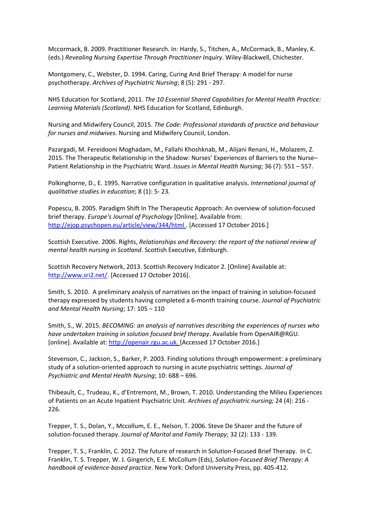Mccormack, B. 2009. Practitioner Research. In: Hardy, S., Titchen, A., McCormack, B., Manley, K. (eds.) *Revealing Nursing Expertise Through Practitioner Inquiry*. Wiley‐Blackwell, Chichester.

Montgomery, C., Webster, D. 1994. Caring, Curing And Brief Therapy: A model for nurse psychotherapy. *Archives of Psychiatric Nursing*; 8 (5): 291 ‐ 297.

NHS Education for Scotland, 2011. *The 10 Essential Shared Capabilities for Mental Health Practice: Learning Materials (Scotland)*. NHS Education for Scotland, Edinburgh.

Nursing and Midwifery Council, 2015. *The Code: Professional standards of practice and behaviour for nurses and midwives*. Nursing and Midwifery Council, London.

Pazargadi, M. Fereidooni Moghadam, M., Fallahi Khoshknab, M., Alijani Renani, H., Molazem, Z. 2015. The Therapeutic Relationship in the Shadow: Nurses' Experiences of Barriers to the Nurse– Patient Relationship in the Psychiatric Ward. *Issues in Mental Health Nursing*; 36 (7): 551 – 557.

Polkinghorne, D., E. 1995. Narrative configuration in qualitative analysis. *International journal of qualitative studies in education*; 8 (1): 5‐ 23.

Popescu, B. 2005. Paradigm Shift In The Therapeutic Approach: An overview of solution‐focused brief therapy. *Europe's Journal of Psychology* [Online]. Available from: http://ejop.psychopen.eu/article/view/344/html . [Accessed 17 October 2016.]

Scottish Executive. 2006. Rights, *Relationships and Recovery: the report of the national review of mental health nursing in Scotland*. Scottish Executive, Edinburgh.

Scottish Recovery Network, 2013. Scottish Recovery Indicator 2. [Online] Available at: http://www.sri2.net/. [Accessed 17 October 2016].

Smith, S. 2010. A preliminary analysis of narratives on the impact of training in solution‐focused therapy expressed by students having completed a 6‐month training course. *Journal of Psychiatric and Mental Health Nursing*; 17: 105 – 110

Smith, S., W. 2015. *BECOMING: an analysis of narratives describing the experiences of nurses who have undertaken training in solution focused brief therapy*. Available from OpenAIR@RGU. [online]. Available at: http://openair.rgu.ac.uk. [Accessed 17 October 2016.]

Stevenson, C., Jackson, S., Barker, P. 2003. Finding solutions through empowerment: a preliminary study of a solution‐oriented approach to nursing in acute psychiatric settings. *Journal of Psychiatric and Mental Health Nursing*; 10: 688 – 696.

Thibeault, C., Trudeau, K., d'Entremont, M., Brown, T. 2010. Understanding the Milieu Experiences of Patients on an Acute Inpatient Psychiatric Unit. *Archives of psychiatric nursing;* 24 (4): 216 ‐ 226.

Trepper, T. S., Dolan, Y., Mccollum, E. E., Nelson, T. 2006. Steve De Shazer and the future of solution‐focused therapy. *Journal of Marital and Family Therapy*; 32 (2): 133 ‐ 139.

Trepper, T. S., Franklin, C. 2012. The future of research in Solution‐Focused Brief Therapy. In C. Franklin, T. S. Trepper, W. J. Gingerich, E.E. McCollum (Eds), *Solution‐Focused Brief Therapy: A handbook of evidence‐based practice*. New York: Oxford University Press, pp. 405‐412.